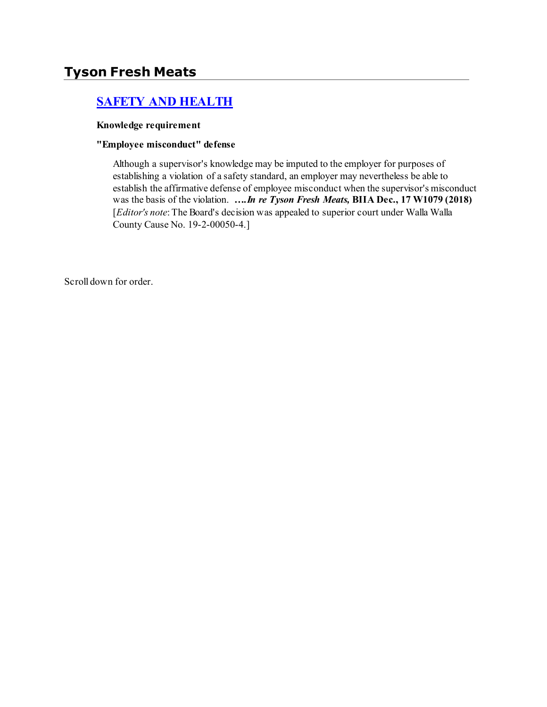# **Tyson Fresh Meats**

# **[SAFETY AND HEALTH](http://www.biia.wa.gov/SDSubjectIndex.html#SAFETY_AND_HEALTH)**

#### **Knowledge requirement**

#### **"Employee misconduct" defense**

Although a supervisor's knowledge may be imputed to the employer for purposes of establishing a violation of a safety standard, an employer may nevertheless be able to establish the affirmative defense of employee misconduct when the supervisor's misconduct was the basis of the violation. *….In re Tyson Fresh Meats,* **BIIA Dec., 17 W1079 (2018)**  [*Editor's note*: The Board's decision was appealed to superior court under Walla Walla County Cause No. 19-2-00050-4.]

Scroll down for order.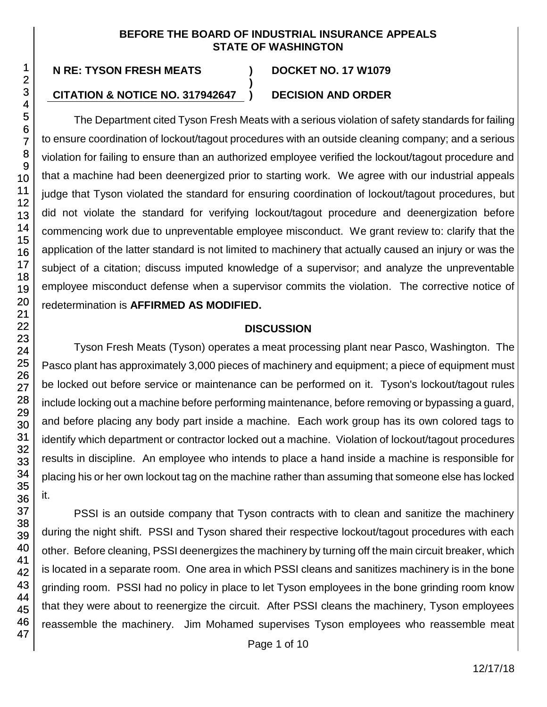## **BEFORE THE BOARD OF INDUSTRIAL INSURANCE APPEALS STATE OF WASHINGTON**

**)**

# **CITATION & NOTICE NO. 317942647 ) DECISION AND ORDER**

The Department cited Tyson Fresh Meats with a serious violation of safety standards for failing to ensure coordination of lockout/tagout procedures with an outside cleaning company; and a serious violation for failing to ensure than an authorized employee verified the lockout/tagout procedure and that a machine had been deenergized prior to starting work. We agree with our industrial appeals judge that Tyson violated the standard for ensuring coordination of lockout/tagout procedures, but did not violate the standard for verifying lockout/tagout procedure and deenergization before commencing work due to unpreventable employee misconduct. We grant review to: clarify that the application of the latter standard is not limited to machinery that actually caused an injury or was the subject of a citation; discuss imputed knowledge of a supervisor; and analyze the unpreventable employee misconduct defense when a supervisor commits the violation. The corrective notice of redetermination is **AFFIRMED AS MODIFIED.**

## **DISCUSSION**

Tyson Fresh Meats (Tyson) operates a meat processing plant near Pasco, Washington. The Pasco plant has approximately 3,000 pieces of machinery and equipment; a piece of equipment must be locked out before service or maintenance can be performed on it. Tyson's lockout/tagout rules include locking out a machine before performing maintenance, before removing or bypassing a guard, and before placing any body part inside a machine. Each work group has its own colored tags to identify which department or contractor locked out a machine. Violation of lockout/tagout procedures results in discipline. An employee who intends to place a hand inside a machine is responsible for placing his or her own lockout tag on the machine rather than assuming that someone else has locked it.

PSSI is an outside company that Tyson contracts with to clean and sanitize the machinery during the night shift. PSSI and Tyson shared their respective lockout/tagout procedures with each other. Before cleaning, PSSI deenergizes the machinery by turning off the main circuit breaker, which is located in a separate room. One area in which PSSI cleans and sanitizes machinery is in the bone grinding room. PSSI had no policy in place to let Tyson employees in the bone grinding room know that they were about to reenergize the circuit. After PSSI cleans the machinery, Tyson employees reassemble the machinery. Jim Mohamed supervises Tyson employees who reassemble meat

30

32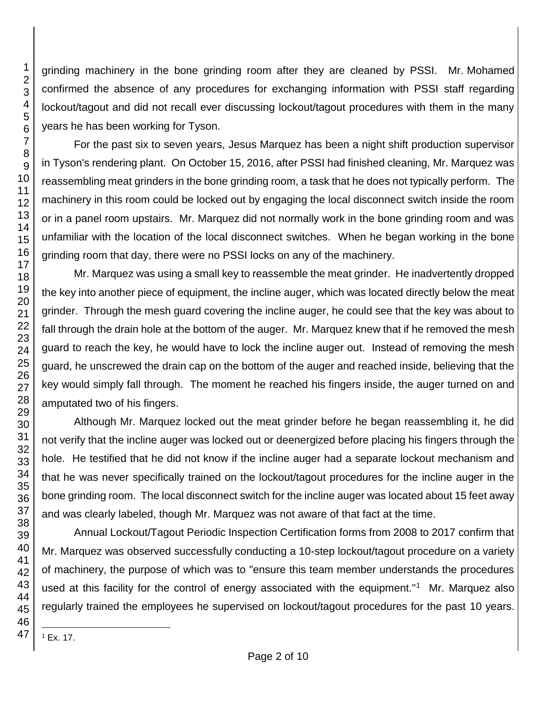grinding machinery in the bone grinding room after they are cleaned by PSSI. Mr. Mohamed confirmed the absence of any procedures for exchanging information with PSSI staff regarding lockout/tagout and did not recall ever discussing lockout/tagout procedures with them in the many years he has been working for Tyson.

For the past six to seven years, Jesus Marquez has been a night shift production supervisor in Tyson's rendering plant. On October 15, 2016, after PSSI had finished cleaning, Mr. Marquez was reassembling meat grinders in the bone grinding room, a task that he does not typically perform. The machinery in this room could be locked out by engaging the local disconnect switch inside the room or in a panel room upstairs. Mr. Marquez did not normally work in the bone grinding room and was unfamiliar with the location of the local disconnect switches. When he began working in the bone grinding room that day, there were no PSSI locks on any of the machinery.

Mr. Marquez was using a small key to reassemble the meat grinder. He inadvertently dropped the key into another piece of equipment, the incline auger, which was located directly below the meat grinder. Through the mesh guard covering the incline auger, he could see that the key was about to fall through the drain hole at the bottom of the auger. Mr. Marquez knew that if he removed the mesh guard to reach the key, he would have to lock the incline auger out. Instead of removing the mesh guard, he unscrewed the drain cap on the bottom of the auger and reached inside, believing that the key would simply fall through. The moment he reached his fingers inside, the auger turned on and amputated two of his fingers.

Although Mr. Marquez locked out the meat grinder before he began reassembling it, he did not verify that the incline auger was locked out or deenergized before placing his fingers through the hole. He testified that he did not know if the incline auger had a separate lockout mechanism and that he was never specifically trained on the lockout/tagout procedures for the incline auger in the bone grinding room. The local disconnect switch for the incline auger was located about 15 feet away and was clearly labeled, though Mr. Marquez was not aware of that fact at the time.

Annual Lockout/Tagout Periodic Inspection Certification forms from 2008 to 2017 confirm that Mr. Marquez was observed successfully conducting a 10-step lockout/tagout procedure on a variety of machinery, the purpose of which was to "ensure this team member understands the procedures used at this facility for the control of energy associated with the equipment."<sup>1</sup> Mr. Marquez also regularly trained the employees he supervised on lockout/tagout procedures for the past 10 years.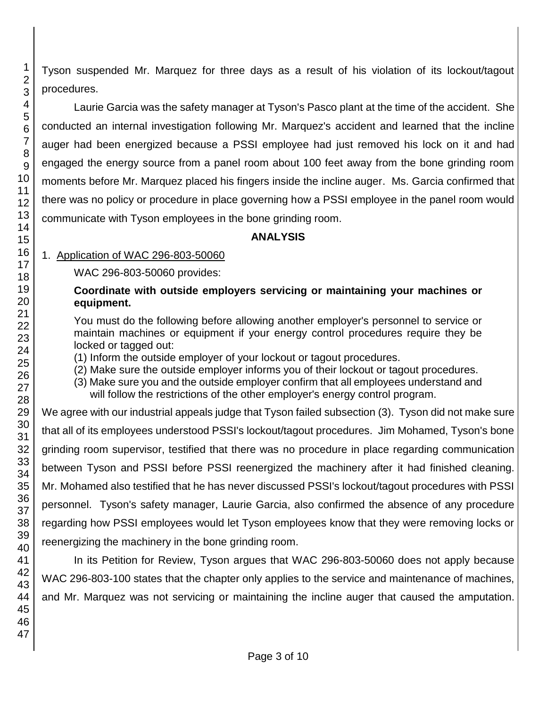Tyson suspended Mr. Marquez for three days as a result of his violation of its lockout/tagout procedures.

Laurie Garcia was the safety manager at Tyson's Pasco plant at the time of the accident. She conducted an internal investigation following Mr. Marquez's accident and learned that the incline auger had been energized because a PSSI employee had just removed his lock on it and had engaged the energy source from a panel room about 100 feet away from the bone grinding room moments before Mr. Marquez placed his fingers inside the incline auger. Ms. Garcia confirmed that there was no policy or procedure in place governing how a PSSI employee in the panel room would communicate with Tyson employees in the bone grinding room.

## **ANALYSIS**

# 1. Application of WAC 296-803-50060

WAC 296-803-50060 provides:

## **Coordinate with outside employers servicing or maintaining your machines or equipment.**

You must do the following before allowing another employer's personnel to service or maintain machines or equipment if your energy control procedures require they be locked or tagged out:

(1) Inform the outside employer of your lockout or tagout procedures.

(2) Make sure the outside employer informs you of their lockout or tagout procedures.

(3) Make sure you and the outside employer confirm that all employees understand and will follow the restrictions of the other employer's energy control program.

We agree with our industrial appeals judge that Tyson failed subsection (3). Tyson did not make sure that all of its employees understood PSSI's lockout/tagout procedures. Jim Mohamed, Tyson's bone grinding room supervisor, testified that there was no procedure in place regarding communication between Tyson and PSSI before PSSI reenergized the machinery after it had finished cleaning. Mr. Mohamed also testified that he has never discussed PSSI's lockout/tagout procedures with PSSI personnel. Tyson's safety manager, Laurie Garcia, also confirmed the absence of any procedure regarding how PSSI employees would let Tyson employees know that they were removing locks or reenergizing the machinery in the bone grinding room.

In its Petition for Review, Tyson argues that WAC 296-803-50060 does not apply because WAC 296-803-100 states that the chapter only applies to the service and maintenance of machines, and Mr. Marquez was not servicing or maintaining the incline auger that caused the amputation.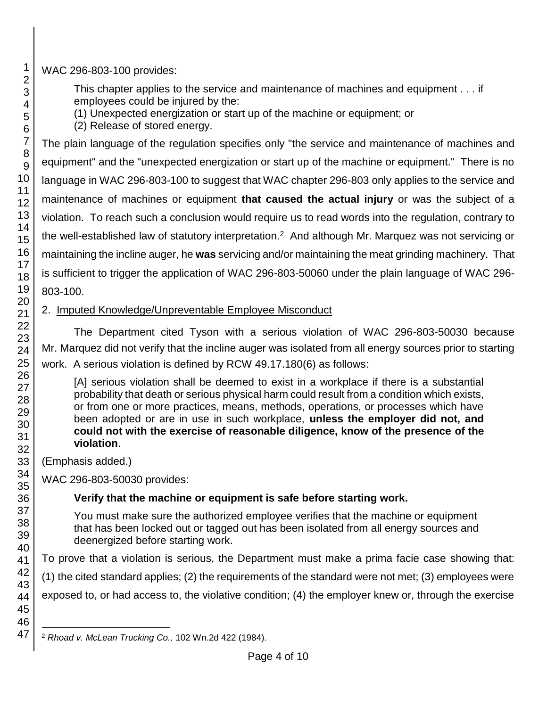WAC 296-803-100 provides:

This chapter applies to the service and maintenance of machines and equipment . . . if employees could be injured by the:

(1) Unexpected energization or start up of the machine or equipment; or

(2) Release of stored energy.

The plain language of the regulation specifies only "the service and maintenance of machines and equipment" and the "unexpected energization or start up of the machine or equipment." There is no language in WAC 296-803-100 to suggest that WAC chapter 296-803 only applies to the service and maintenance of machines or equipment **that caused the actual injury** or was the subject of a violation. To reach such a conclusion would require us to read words into the regulation, contrary to the well-established law of statutory interpretation. <sup>2</sup> And although Mr. Marquez was not servicing or maintaining the incline auger, he **was** servicing and/or maintaining the meat grinding machinery. That is sufficient to trigger the application of WAC 296-803-50060 under the plain language of WAC 296- 803-100.

# 2. Imputed Knowledge/Unpreventable Employee Misconduct

The Department cited Tyson with a serious violation of WAC 296-803-50030 because Mr. Marquez did not verify that the incline auger was isolated from all energy sources prior to starting work. A serious violation is defined by RCW 49.17.180(6) as follows:

[A] serious violation shall be deemed to exist in a workplace if there is a substantial probability that death or serious physical harm could result from a condition which exists, or from one or more practices, means, methods, operations, or processes which have been adopted or are in use in such workplace, **unless the employer did not, and could not with the exercise of reasonable diligence, know of the presence of the violation**.

(Emphasis added.)

WAC 296-803-50030 provides:

# **Verify that the machine or equipment is safe before starting work.**

You must make sure the authorized employee verifies that the machine or equipment that has been locked out or tagged out has been isolated from all energy sources and deenergized before starting work.

To prove that a violation is serious, the Department must make a prima facie case showing that:

(1) the cited standard applies; (2) the requirements of the standard were not met; (3) employees were

exposed to, or had access to, the violative condition; (4) the employer knew or, through the exercise

l <sup>2</sup> *Rhoad v. McLean Trucking Co.,* 102 Wn.2d 422 (1984).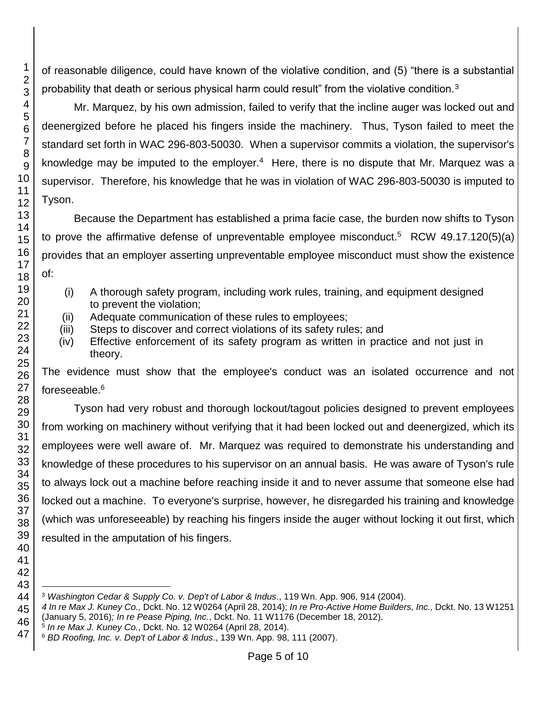of reasonable diligence, could have known of the violative condition, and (5) "there is a substantial probability that death or serious physical harm could result" from the violative condition.<sup>3</sup>

Mr. Marquez, by his own admission, failed to verify that the incline auger was locked out and deenergized before he placed his fingers inside the machinery. Thus, Tyson failed to meet the standard set forth in WAC 296-803-50030. When a supervisor commits a violation, the supervisor's knowledge may be imputed to the employer.<sup>4</sup> Here, there is no dispute that Mr. Marquez was a supervisor. Therefore, his knowledge that he was in violation of WAC 296-803-50030 is imputed to Tyson.

Because the Department has established a prima facie case, the burden now shifts to Tyson to prove the affirmative defense of unpreventable employee misconduct.<sup>5</sup> RCW 49.17.120(5)(a) provides that an employer asserting unpreventable employee misconduct must show the existence of:

- (i) A thorough safety program, including work rules, training, and equipment designed to prevent the violation;
- (ii) Adequate communication of these rules to employees;
- (iii) Steps to discover and correct violations of its safety rules; and
- (iv) Effective enforcement of its safety program as written in practice and not just in theory.

The evidence must show that the employee's conduct was an isolated occurrence and not foreseeable.<sup>6</sup>

Tyson had very robust and thorough lockout/tagout policies designed to prevent employees from working on machinery without verifying that it had been locked out and deenergized, which its employees were well aware of. Mr. Marquez was required to demonstrate his understanding and knowledge of these procedures to his supervisor on an annual basis. He was aware of Tyson's rule to always lock out a machine before reaching inside it and to never assume that someone else had locked out a machine. To everyone's surprise, however, he disregarded his training and knowledge (which was unforeseeable) by reaching his fingers inside the auger without locking it out first, which resulted in the amputation of his fingers.

l *Washington Cedar & Supply Co. v. Dep't of Labor & Indus*., 119 Wn. App. 906, 914 (2004).

 *In re Max J. Kuney Co.,* Dckt. No. 12 W0264 (April 28, 2014); *In re Pro-Active Home Builders, Inc.,* Dckt. No. 13 W1251 (January 5, 2016)*; In re Pease Piping, Inc.*, Dckt. No. 11 W1176 (December 18, 2012).

*In re Max J. Kuney Co.*, Dckt. No. 12 W0264 (April 28, 2014).

*BD Roofing, Inc. v. Dep't of Labor & Indus*., 139 Wn. App. 98, 111 (2007).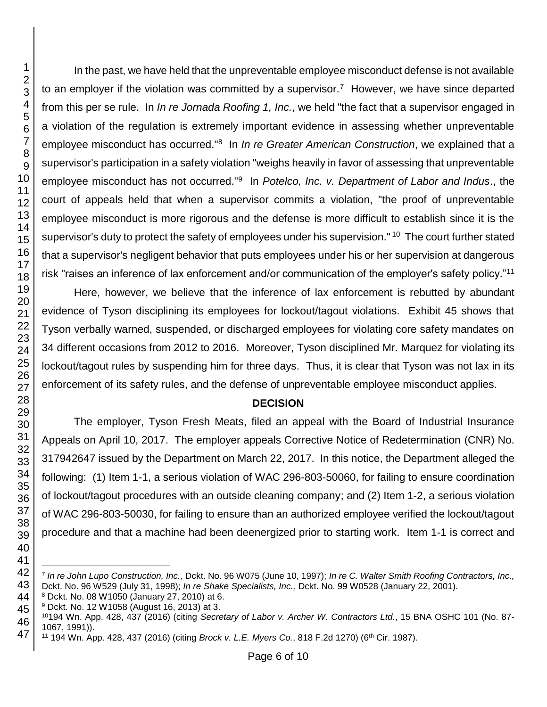l

In the past, we have held that the unpreventable employee misconduct defense is not available to an employer if the violation was committed by a supervisor.<sup>7</sup> However, we have since departed from this per se rule. In *In re Jornada Roofing 1, Inc.*, we held "the fact that a supervisor engaged in a violation of the regulation is extremely important evidence in assessing whether unpreventable employee misconduct has occurred."<sup>8</sup> In *In re Greater American Construction*, we explained that a supervisor's participation in a safety violation "weighs heavily in favor of assessing that unpreventable employee misconduct has not occurred.<sup>"9</sup> In *Potelco, Inc. v. Department of Labor and Indus.*, the court of appeals held that when a supervisor commits a violation, "the proof of unpreventable employee misconduct is more rigorous and the defense is more difficult to establish since it is the supervisor's duty to protect the safety of employees under his supervision." <sup>10</sup> The court further stated that a supervisor's negligent behavior that puts employees under his or her supervision at dangerous risk "raises an inference of lax enforcement and/or communication of the employer's safety policy."<sup>11</sup>

Here, however, we believe that the inference of lax enforcement is rebutted by abundant evidence of Tyson disciplining its employees for lockout/tagout violations. Exhibit 45 shows that Tyson verbally warned, suspended, or discharged employees for violating core safety mandates on 34 different occasions from 2012 to 2016. Moreover, Tyson disciplined Mr. Marquez for violating its lockout/tagout rules by suspending him for three days. Thus, it is clear that Tyson was not lax in its enforcement of its safety rules, and the defense of unpreventable employee misconduct applies.

## **DECISION**

The employer, Tyson Fresh Meats, filed an appeal with the Board of Industrial Insurance Appeals on April 10, 2017. The employer appeals Corrective Notice of Redetermination (CNR) No. 317942647 issued by the Department on March 22, 2017. In this notice, the Department alleged the following: (1) Item 1-1, a serious violation of WAC 296-803-50060, for failing to ensure coordination of lockout/tagout procedures with an outside cleaning company; and (2) Item 1-2, a serious violation of WAC 296-803-50030, for failing to ensure than an authorized employee verified the lockout/tagout procedure and that a machine had been deenergized prior to starting work. Item 1-1 is correct and

 *In re John Lupo Construction, Inc.*, Dckt. No. 96 W075 (June 10, 1997); *In re C. Walter Smith Roofing Contractors, Inc.,* Dckt. No. 96 W529 (July 31, 1998); *In re Shake Specialists, Inc.,* Dckt. No. 99 W0528 (January 22, 2001).

Dckt. No. 08 W1050 (January 27, 2010) at 6.

Dckt. No. 12 W1058 (August 16, 2013) at 3.

194 Wn. App. 428, 437 (2016) (citing *Secretary of Labor v. Archer W. Contractors Ltd.*, 15 BNA OSHC 101 (No. 87- 1067, 1991)).

194 Wn. App. 428, 437 (2016) (citing *Brock v. L.E. Myers Co.*, 818 F.2d 1270) (6th Cir. 1987).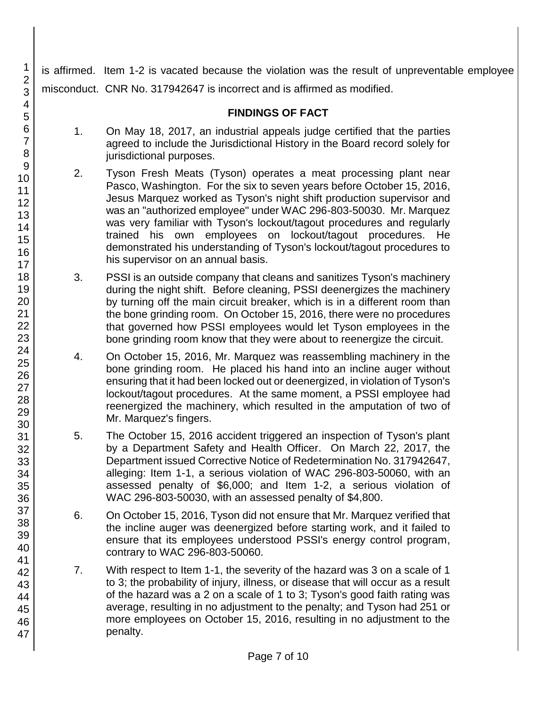is affirmed. Item 1-2 is vacated because the violation was the result of unpreventable employee misconduct. CNR No. 317942647 is incorrect and is affirmed as modified.

# **FINDINGS OF FACT**

- 1. On May 18, 2017, an industrial appeals judge certified that the parties agreed to include the Jurisdictional History in the Board record solely for jurisdictional purposes.
- 2. Tyson Fresh Meats (Tyson) operates a meat processing plant near Pasco, Washington. For the six to seven years before October 15, 2016, Jesus Marquez worked as Tyson's night shift production supervisor and was an "authorized employee" under WAC 296-803-50030. Mr. Marquez was very familiar with Tyson's lockout/tagout procedures and regularly trained his own employees on lockout/tagout procedures. He demonstrated his understanding of Tyson's lockout/tagout procedures to his supervisor on an annual basis.
- 3. PSSI is an outside company that cleans and sanitizes Tyson's machinery during the night shift. Before cleaning, PSSI deenergizes the machinery by turning off the main circuit breaker, which is in a different room than the bone grinding room. On October 15, 2016, there were no procedures that governed how PSSI employees would let Tyson employees in the bone grinding room know that they were about to reenergize the circuit.
- 4. On October 15, 2016, Mr. Marquez was reassembling machinery in the bone grinding room. He placed his hand into an incline auger without ensuring that it had been locked out or deenergized, in violation of Tyson's lockout/tagout procedures. At the same moment, a PSSI employee had reenergized the machinery, which resulted in the amputation of two of Mr. Marquez's fingers.
- 5. The October 15, 2016 accident triggered an inspection of Tyson's plant by a Department Safety and Health Officer. On March 22, 2017, the Department issued Corrective Notice of Redetermination No. 317942647, alleging: Item 1-1, a serious violation of WAC 296-803-50060, with an assessed penalty of \$6,000; and Item 1-2, a serious violation of WAC 296-803-50030, with an assessed penalty of \$4,800.
- 6. On October 15, 2016, Tyson did not ensure that Mr. Marquez verified that the incline auger was deenergized before starting work, and it failed to ensure that its employees understood PSSI's energy control program, contrary to WAC 296-803-50060.
- 7. With respect to Item 1-1, the severity of the hazard was 3 on a scale of 1 to 3; the probability of injury, illness, or disease that will occur as a result of the hazard was a 2 on a scale of 1 to 3; Tyson's good faith rating was average, resulting in no adjustment to the penalty; and Tyson had 251 or more employees on October 15, 2016, resulting in no adjustment to the penalty.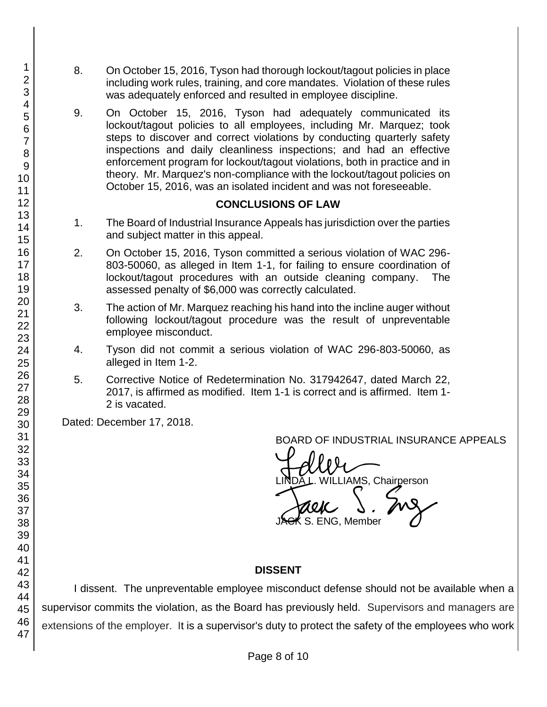- 8. On October 15, 2016, Tyson had thorough lockout/tagout policies in place including work rules, training, and core mandates. Violation of these rules was adequately enforced and resulted in employee discipline.
- 9. On October 15, 2016, Tyson had adequately communicated its lockout/tagout policies to all employees, including Mr. Marquez; took steps to discover and correct violations by conducting quarterly safety inspections and daily cleanliness inspections; and had an effective enforcement program for lockout/tagout violations, both in practice and in theory. Mr. Marquez's non-compliance with the lockout/tagout policies on October 15, 2016, was an isolated incident and was not foreseeable.

## **CONCLUSIONS OF LAW**

- 1. The Board of Industrial Insurance Appeals has jurisdiction over the parties and subject matter in this appeal.
- 2. On October 15, 2016, Tyson committed a serious violation of WAC 296- 803-50060, as alleged in Item 1-1, for failing to ensure coordination of lockout/tagout procedures with an outside cleaning company. The assessed penalty of \$6,000 was correctly calculated.
- 3. The action of Mr. Marquez reaching his hand into the incline auger without following lockout/tagout procedure was the result of unpreventable employee misconduct.
- 4. Tyson did not commit a serious violation of WAC 296-803-50060, as alleged in Item 1-2.
- 5. Corrective Notice of Redetermination No. 317942647, dated March 22, 2017, is affirmed as modified. Item 1-1 is correct and is affirmed. Item 1- 2 is vacated.

Dated: December 17, 2018.

BOARD OF INDUSTRIAL INSURANCE APPEALS

BOARD OF INDUSTRIAL INSURAM<br>LINDA L. WILLIAMS, Chairperson<br>JACK S. ENG, Member S. ENG, Member

## **DISSENT**

I dissent. The unpreventable employee misconduct defense should not be available when a supervisor commits the violation, as the Board has previously held. Supervisors and managers are extensions of the employer. It is a supervisor's duty to protect the safety of the employees who work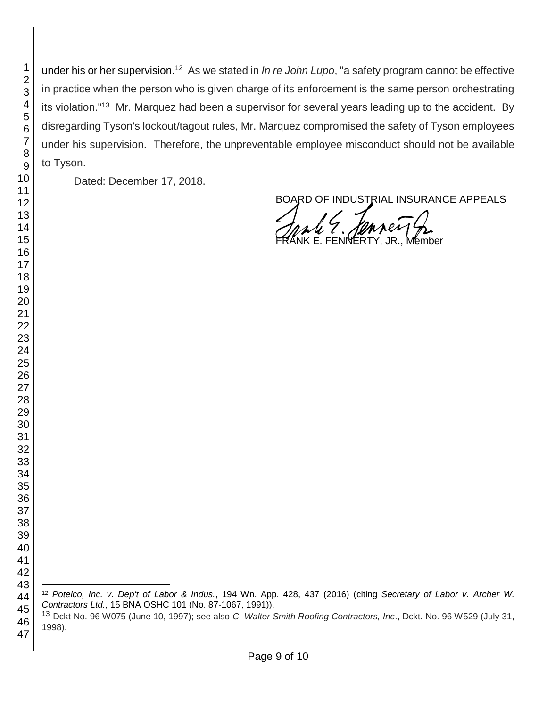under his or her supervision.<sup>12</sup> As we stated in *In re John Lupo*, "a safety program cannot be effective in practice when the person who is given charge of its enforcement is the same person orchestrating its violation."<sup>13</sup> Mr. Marquez had been a supervisor for several years leading up to the accident. By disregarding Tyson's lockout/tagout rules, Mr. Marquez compromised the safety of Tyson employees under his supervision. Therefore, the unpreventable employee misconduct should not be available to Tyson.

Dated: December 17, 2018.

BOARD OF INDUSTRIAL INSURANCE APPEALS

E. FENNERTY

l *Potelco, Inc. v. Dep't of Labor & Indus.*, 194 Wn. App. 428, 437 (2016) (citing *Secretary of Labor v. Archer W. Contractors Ltd.*, 15 BNA OSHC 101 (No. 87-1067, 1991)).

 Dckt No. 96 W075 (June 10, 1997); see also *C. Walter Smith Roofing Contractors, Inc*., Dckt. No. 96 W529 (July 31, 1998).